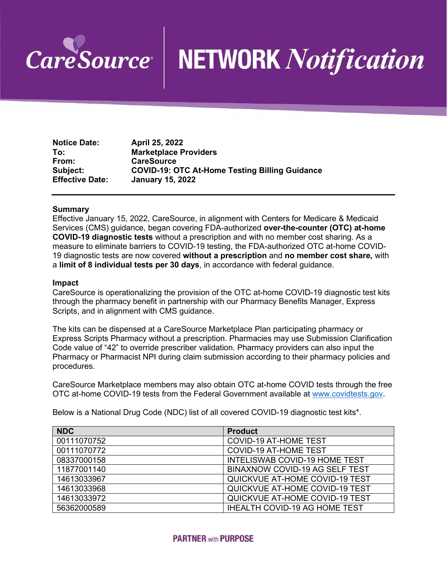

# **NETWORK Notification**

**Notice Date: April 25, 2022 To: Marketplace Providers From: CareSource Subject: COVID-19: OTC At-Home Testing Billing Guidance Effective Date: January 15, 2022**

#### **Summary**

Effective January 15, 2022, CareSource, in alignment with Centers for Medicare & Medicaid Services (CMS) guidance, began covering FDA-authorized **over-the-counter (OTC) at-home COVID-19 diagnostic tests** without a prescription and with no member cost sharing. As a measure to eliminate barriers to COVID-19 testing, the FDA-authorized OTC at-home COVID-19 diagnostic tests are now covered **without a prescription** and **no member cost share,** with a **limit of 8 individual tests per 30 days**, in accordance with federal guidance.

#### **Impact**

CareSource is operationalizing the provision of the OTC at-home COVID-19 diagnostic test kits through the pharmacy benefit in partnership with our Pharmacy Benefits Manager, Express Scripts, and in alignment with CMS guidance.

The kits can be dispensed at a CareSource Marketplace Plan participating pharmacy or Express Scripts Pharmacy without a prescription. Pharmacies may use Submission Clarification Code value of "42" to override prescriber validation. Pharmacy providers can also input the Pharmacy or Pharmacist NPI during claim submission according to their pharmacy policies and procedures.

CareSource Marketplace members may also obtain OTC at-home COVID tests through the free OTC at-home COVID-19 tests from the Federal Government available at [www.covidtests.gov.](http://www.covidtests.gov/)

Below is a National Drug Code (NDC) list of all covered COVID-19 diagnostic test kits\*.

| <b>NDC</b>  | <b>Product</b>                        |
|-------------|---------------------------------------|
| 00111070752 | <b>COVID-19 AT-HOME TEST</b>          |
| 00111070772 | <b>COVID-19 AT-HOME TEST</b>          |
| 08337000158 | <b>INTELISWAB COVID-19 HOME TEST</b>  |
| 11877001140 | <b>BINAXNOW COVID-19 AG SELF TEST</b> |
| 14613033967 | QUICKVUE AT-HOME COVID-19 TEST        |
| 14613033968 | QUICKVUE AT-HOME COVID-19 TEST        |
| 14613033972 | QUICKVUE AT-HOME COVID-19 TEST        |
| 56362000589 | <b>IHEALTH COVID-19 AG HOME TEST</b>  |

## **PARTNER with PURPOSE**